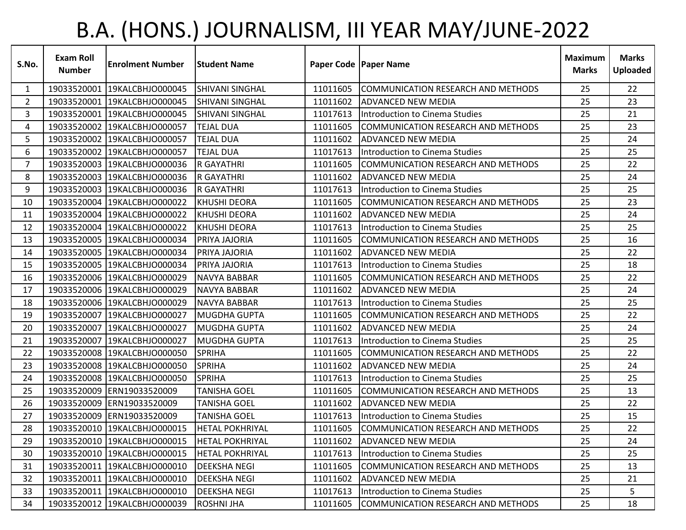## B.A. (HONS.) JOURNALISM, III YEAR MAY/JUNE-2022

| S.No.          | <b>Exam Roll</b><br><b>Number</b> | <b>Enrolment Number</b>      | <b>Student Name</b>    |          | Paper Code   Paper Name               | <b>Maximum</b><br><b>Marks</b> | <b>Marks</b><br>Uploaded |
|----------------|-----------------------------------|------------------------------|------------------------|----------|---------------------------------------|--------------------------------|--------------------------|
| $\mathbf{1}$   | 19033520001                       | 19KALCBHJO000045             | <b>SHIVANI SINGHAL</b> | 11011605 | COMMUNICATION RESEARCH AND METHODS    | 25                             | 22                       |
| $\mathbf{2}$   |                                   | 19033520001 19KALCBHJO000045 | <b>SHIVANI SINGHAL</b> | 11011602 | <b>ADVANCED NEW MEDIA</b>             | 25                             | 23                       |
| 3              |                                   | 19033520001 19KALCBHJO000045 | <b>SHIVANI SINGHAL</b> | 11017613 | Introduction to Cinema Studies        | 25                             | 21                       |
| 4              |                                   | 19033520002 19KALCBHJO000057 | <b>TEJAL DUA</b>       | 11011605 | COMMUNICATION RESEARCH AND METHODS    | 25                             | 23                       |
| 5              |                                   | 19033520002 19KALCBHJO000057 | <b>TEJAL DUA</b>       | 11011602 | ADVANCED NEW MEDIA                    | 25                             | 24                       |
| 6              |                                   | 19033520002 19KALCBHJO000057 | <b>TEJAL DUA</b>       | 11017613 | Introduction to Cinema Studies        | 25                             | 25                       |
| $\overline{7}$ |                                   | 19033520003 19KALCBHJO000036 | <b>R GAYATHRI</b>      | 11011605 | COMMUNICATION RESEARCH AND METHODS    | 25                             | 22                       |
| 8              |                                   | 19033520003 19KALCBHJO000036 | <b>R GAYATHRI</b>      | 11011602 | ADVANCED NEW MEDIA                    | 25                             | 24                       |
| 9              |                                   | 19033520003 19KALCBHJO000036 | <b>R GAYATHRI</b>      | 11017613 | Introduction to Cinema Studies        | 25                             | 25                       |
| 10             |                                   | 19033520004 19KALCBHJO000022 | KHUSHI DEORA           | 11011605 | COMMUNICATION RESEARCH AND METHODS    | 25                             | 23                       |
| 11             |                                   | 19033520004 19KALCBHJO000022 | <b>KHUSHI DEORA</b>    | 11011602 | <b>ADVANCED NEW MEDIA</b>             | 25                             | 24                       |
| 12             |                                   | 19033520004 19KALCBHJO000022 | <b>IKHUSHI DEORA</b>   | 11017613 | <b>Introduction to Cinema Studies</b> | 25                             | 25                       |
| 13             |                                   | 19033520005 19KALCBHJO000034 | PRIYA JAJORIA          | 11011605 | COMMUNICATION RESEARCH AND METHODS    | 25                             | 16                       |
| 14             |                                   | 19033520005 19KALCBHJO000034 | PRIYA JAJORIA          | 11011602 | <b>ADVANCED NEW MEDIA</b>             | 25                             | 22                       |
| 15             |                                   | 19033520005 19KALCBHJO000034 | PRIYA JAJORIA          | 11017613 | Introduction to Cinema Studies        | 25                             | 18                       |
| 16             |                                   | 19033520006 19KALCBHJO000029 | <b>NAVYA BABBAR</b>    | 11011605 | COMMUNICATION RESEARCH AND METHODS    | 25                             | 22                       |
| 17             |                                   | 19033520006 19KALCBHJO000029 | <b>NAVYA BABBAR</b>    | 11011602 | <b>ADVANCED NEW MEDIA</b>             | 25                             | 24                       |
| 18             |                                   | 19033520006 19KALCBHJO000029 | <b>NAVYA BABBAR</b>    | 11017613 | Introduction to Cinema Studies        | 25                             | 25                       |
| 19             |                                   | 19033520007 19KALCBHJO000027 | <b>MUGDHA GUPTA</b>    | 11011605 | COMMUNICATION RESEARCH AND METHODS    | 25                             | 22                       |
| 20             | 19033520007                       | 19KALCBHJO000027             | <b>MUGDHA GUPTA</b>    | 11011602 | <b>ADVANCED NEW MEDIA</b>             | 25                             | 24                       |
| 21             |                                   | 19033520007 19KALCBHJO000027 | <b>MUGDHA GUPTA</b>    | 11017613 | Introduction to Cinema Studies        | 25                             | 25                       |
| 22             |                                   | 19033520008 19KALCBHJO000050 | <b>SPRIHA</b>          | 11011605 | COMMUNICATION RESEARCH AND METHODS    | 25                             | 22                       |
| 23             |                                   | 19033520008 19KALCBHJO000050 | <b>SPRIHA</b>          | 11011602 | <b>ADVANCED NEW MEDIA</b>             | 25                             | 24                       |
| 24             |                                   | 19033520008 19KALCBHJO000050 | <b>SPRIHA</b>          | 11017613 | Introduction to Cinema Studies        | 25                             | 25                       |
| 25             |                                   | 19033520009 ERN19033520009   | <b>TANISHA GOEL</b>    | 11011605 | COMMUNICATION RESEARCH AND METHODS    | 25                             | 13                       |
| 26             |                                   | 19033520009 ERN19033520009   | <b>TANISHA GOEL</b>    | 11011602 | <b>ADVANCED NEW MEDIA</b>             | 25                             | 22                       |
| 27             |                                   | 19033520009 ERN19033520009   | <b>TANISHA GOEL</b>    | 11017613 | Introduction to Cinema Studies        | 25                             | 15                       |
| 28             |                                   | 19033520010 19KALCBHJO000015 | <b>HETAL POKHRIYAL</b> | 11011605 | COMMUNICATION RESEARCH AND METHODS    | 25                             | 22                       |
| 29             |                                   | 19033520010 19KALCBHJO000015 | <b>HETAL POKHRIYAL</b> | 11011602 | <b>ADVANCED NEW MEDIA</b>             | 25                             | 24                       |
| 30             |                                   | 19033520010 19KALCBHJO000015 | <b>HETAL POKHRIYAL</b> | 11017613 | Introduction to Cinema Studies        | 25                             | 25                       |
| 31             |                                   | 19033520011 19KALCBHJO000010 | <b>DEEKSHA NEGI</b>    | 11011605 | COMMUNICATION RESEARCH AND METHODS    | 25                             | 13                       |
| 32             |                                   | 19033520011 19KALCBHJO000010 | <b>DEEKSHA NEGI</b>    | 11011602 | <b>ADVANCED NEW MEDIA</b>             | 25                             | 21                       |
| 33             |                                   | 19033520011 19KALCBHJO000010 | <b>DEEKSHA NEGI</b>    | 11017613 | Introduction to Cinema Studies        | 25                             | 5                        |
| 34             |                                   | 19033520012 19KALCBHJO000039 | <b>ROSHNI JHA</b>      | 11011605 | COMMUNICATION RESEARCH AND METHODS    | 25                             | 18                       |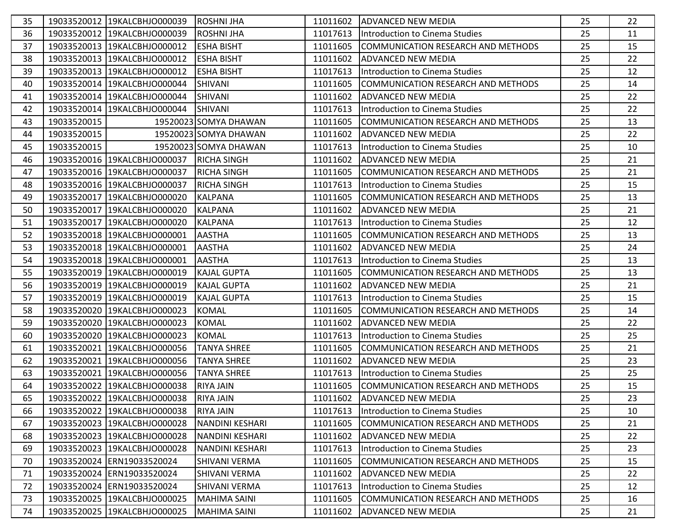| 35 |             | 19033520012 19KALCBHJO000039 | <b>ROSHNIJHA</b>       | 11011602 | ADVANCED NEW MEDIA                         | 25 | 22 |
|----|-------------|------------------------------|------------------------|----------|--------------------------------------------|----|----|
| 36 |             | 19033520012 19KALCBHJO000039 | <b>ROSHNI JHA</b>      | 11017613 | Introduction to Cinema Studies             | 25 | 11 |
| 37 |             | 19033520013 19KALCBHJO000012 | <b>ESHA BISHT</b>      | 11011605 | COMMUNICATION RESEARCH AND METHODS         | 25 | 15 |
| 38 |             | 19033520013 19KALCBHJO000012 | <b>ESHA BISHT</b>      | 11011602 | <b>ADVANCED NEW MEDIA</b>                  | 25 | 22 |
| 39 |             | 19033520013 19KALCBHJO000012 | <b>ESHA BISHT</b>      | 11017613 | IIntroduction to Cinema Studies            | 25 | 12 |
| 40 |             | 19033520014 19KALCBHJO000044 | <b>SHIVANI</b>         | 11011605 | COMMUNICATION RESEARCH AND METHODS         | 25 | 14 |
| 41 |             | 19033520014 19KALCBHJO000044 | <b>SHIVANI</b>         | 11011602 | ADVANCED NEW MEDIA                         | 25 | 22 |
| 42 |             | 19033520014 19KALCBHJO000044 | <b>SHIVANI</b>         | 11017613 | Introduction to Cinema Studies             | 25 | 22 |
| 43 | 19033520015 |                              | 19520023 SOMYA DHAWAN  | 11011605 | <b>COMMUNICATION RESEARCH AND METHODS</b>  | 25 | 13 |
| 44 | 19033520015 |                              | 19520023 SOMYA DHAWAN  | 11011602 | IADVANCED NEW MEDIA                        | 25 | 22 |
| 45 | 19033520015 |                              | 19520023 SOMYA DHAWAN  | 11017613 | Introduction to Cinema Studies             | 25 | 10 |
| 46 |             | 19033520016 19KALCBHJO000037 | <b>RICHA SINGH</b>     | 11011602 | <b>ADVANCED NEW MEDIA</b>                  | 25 | 21 |
| 47 |             | 19033520016 19KALCBHJO000037 | <b>RICHA SINGH</b>     | 11011605 | COMMUNICATION RESEARCH AND METHODS         | 25 | 21 |
| 48 |             | 19033520016 19KALCBHJO000037 | <b>RICHA SINGH</b>     | 11017613 | Introduction to Cinema Studies             | 25 | 15 |
| 49 |             | 19033520017 19KALCBHJO000020 | <b>KALPANA</b>         | 11011605 | COMMUNICATION RESEARCH AND METHODS         | 25 | 13 |
| 50 |             | 19033520017 19KALCBHJO000020 | <b>KALPANA</b>         | 11011602 | <b>ADVANCED NEW MEDIA</b>                  | 25 | 21 |
| 51 |             | 19033520017 19KALCBHJO000020 | <b>KALPANA</b>         | 11017613 | Introduction to Cinema Studies             | 25 | 12 |
| 52 |             | 19033520018 19KALCBHJO000001 | <b>AASTHA</b>          | 11011605 | COMMUNICATION RESEARCH AND METHODS         | 25 | 13 |
| 53 |             | 19033520018 19KALCBHJO000001 | <b>AASTHA</b>          | 11011602 | <b>ADVANCED NEW MEDIA</b>                  | 25 | 24 |
| 54 |             | 19033520018 19KALCBHJO000001 | <b>AASTHA</b>          | 11017613 | Introduction to Cinema Studies             | 25 | 13 |
| 55 |             | 19033520019 19KALCBHJO000019 | <b>KAJAL GUPTA</b>     | 11011605 | <b>COMMUNICATION RESEARCH AND METHODS</b>  | 25 | 13 |
| 56 |             | 19033520019 19KALCBHJO000019 | <b>KAJAL GUPTA</b>     | 11011602 | <b>ADVANCED NEW MEDIA</b>                  | 25 | 21 |
| 57 |             | 19033520019 19KALCBHJO000019 | <b>KAJAL GUPTA</b>     | 11017613 | <b>Introduction to Cinema Studies</b>      | 25 | 15 |
| 58 |             | 19033520020 19KALCBHJO000023 | <b>KOMAL</b>           | 11011605 | COMMUNICATION RESEARCH AND METHODS         | 25 | 14 |
| 59 |             | 19033520020 19KALCBHJO000023 | <b>KOMAL</b>           | 11011602 | <b>ADVANCED NEW MEDIA</b>                  | 25 | 22 |
| 60 |             | 19033520020 19KALCBHJO000023 | <b>KOMAL</b>           | 11017613 | Introduction to Cinema Studies             | 25 | 25 |
| 61 |             | 19033520021 19KALCBHJO000056 | <b>TANYA SHREE</b>     | 11011605 | COMMUNICATION RESEARCH AND METHODS         | 25 | 21 |
| 62 |             | 19033520021 19KALCBHJO000056 | <b>TANYA SHREE</b>     | 11011602 | <b>ADVANCED NEW MEDIA</b>                  | 25 | 23 |
| 63 |             | 19033520021 19KALCBHJO000056 | <b>TANYA SHREE</b>     | 11017613 | Introduction to Cinema Studies             | 25 | 25 |
| 64 |             | 19033520022 19KALCBHJO000038 | <b>RIYA JAIN</b>       | 11011605 | COMMUNICATION RESEARCH AND METHODS         | 25 | 15 |
| 65 |             | 19033520022 19KALCBHJO000038 | <b>RIYA JAIN</b>       |          | 11011602 ADVANCED NEW MEDIA                | 25 | 23 |
| 66 |             | 19033520022 19KALCBHJO000038 | <b>RIYA JAIN</b>       | 11017613 | Introduction to Cinema Studies             | 25 | 10 |
| 67 |             | 19033520023 19KALCBHJO000028 | <b>NANDINI KESHARI</b> | 11011605 | <b>ICOMMUNICATION RESEARCH AND METHODS</b> | 25 | 21 |
| 68 |             | 19033520023 19KALCBHJO000028 | NANDINI KESHARI        | 11011602 | <b>ADVANCED NEW MEDIA</b>                  | 25 | 22 |
| 69 |             | 19033520023 19KALCBHJO000028 | <b>NANDINI KESHARI</b> | 11017613 | Introduction to Cinema Studies             | 25 | 23 |
| 70 |             | 19033520024 ERN19033520024   | <b>SHIVANI VERMA</b>   | 11011605 | COMMUNICATION RESEARCH AND METHODS         | 25 | 15 |
| 71 |             | 19033520024 ERN19033520024   | SHIVANI VERMA          | 11011602 | <b>ADVANCED NEW MEDIA</b>                  | 25 | 22 |
| 72 |             | 19033520024 ERN19033520024   | SHIVANI VERMA          | 11017613 | Introduction to Cinema Studies             | 25 | 12 |
| 73 |             | 19033520025 19KALCBHJO000025 | <b>MAHIMA SAINI</b>    | 11011605 | COMMUNICATION RESEARCH AND METHODS         | 25 | 16 |
| 74 |             | 19033520025 19KALCBHJO000025 | <b>MAHIMA SAINI</b>    | 11011602 | <b>ADVANCED NEW MEDIA</b>                  | 25 | 21 |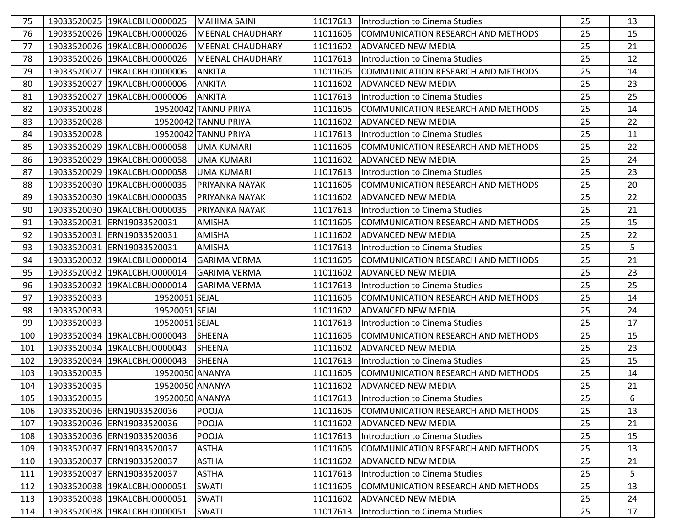| 75  |             | 19033520025 19KALCBHJO000025        | MAHIMA SAINI            |          | 11017613  Introduction to Cinema Studies   | 25 | 13 |
|-----|-------------|-------------------------------------|-------------------------|----------|--------------------------------------------|----|----|
| 76  |             | 19033520026 19KALCBHJO000026        | <b>MEENAL CHAUDHARY</b> | 11011605 | COMMUNICATION RESEARCH AND METHODS         | 25 | 15 |
| 77  |             | 19033520026 19KALCBHJO000026        | <b>MEENAL CHAUDHARY</b> | 11011602 | IADVANCED NEW MEDIA                        | 25 | 21 |
| 78  |             | 19033520026 19KALCBHJO000026        | <b>MEENAL CHAUDHARY</b> | 11017613 | <b>Introduction to Cinema Studies</b>      | 25 | 12 |
| 79  |             | 19033520027 19KALCBHJO000006        | <b>ANKITA</b>           | 11011605 | COMMUNICATION RESEARCH AND METHODS         | 25 | 14 |
| 80  |             | 19033520027 19KALCBHJO000006        | <b>ANKITA</b>           | 11011602 | <b>ADVANCED NEW MEDIA</b>                  | 25 | 23 |
| 81  |             | 19033520027 19KALCBHJO000006        | <b>ANKITA</b>           | 11017613 | Introduction to Cinema Studies             | 25 | 25 |
| 82  | 19033520028 |                                     | 19520042 TANNU PRIYA    | 11011605 | <b>ICOMMUNICATION RESEARCH AND METHODS</b> | 25 | 14 |
| 83  | 19033520028 |                                     | 19520042 TANNU PRIYA    | 11011602 | <b>ADVANCED NEW MEDIA</b>                  | 25 | 22 |
| 84  | 19033520028 |                                     | 19520042 TANNU PRIYA    | 11017613 | Introduction to Cinema Studies             | 25 | 11 |
| 85  |             | 19033520029 19KALCBHJO000058        | <b>UMA KUMARI</b>       | 11011605 | COMMUNICATION RESEARCH AND METHODS         | 25 | 22 |
| 86  |             | 19033520029 19KALCBHJO000058        | <b>UMA KUMARI</b>       | 11011602 | <b>ADVANCED NEW MEDIA</b>                  | 25 | 24 |
| 87  |             | 19033520029 19KALCBHJO000058        | <b>UMA KUMARI</b>       | 11017613 | Introduction to Cinema Studies             | 25 | 23 |
| 88  |             | 19033520030 19KALCBHJO000035        | <b>PRIYANKA NAYAK</b>   | 11011605 | <b>COMMUNICATION RESEARCH AND METHODS</b>  | 25 | 20 |
| 89  |             | 19033520030 19KALCBHJO000035        | <b>PRIYANKA NAYAK</b>   | 11011602 | <b>ADVANCED NEW MEDIA</b>                  | 25 | 22 |
| 90  |             | 19033520030 19KALCBHJO000035        | <b>PRIYANKA NAYAK</b>   | 11017613 | <b>Introduction to Cinema Studies</b>      | 25 | 21 |
| 91  |             | 19033520031 ERN19033520031          | <b>AMISHA</b>           | 11011605 | COMMUNICATION RESEARCH AND METHODS         | 25 | 15 |
| 92  |             | 19033520031 ERN19033520031          | <b>AMISHA</b>           | 11011602 | <b>ADVANCED NEW MEDIA</b>                  | 25 | 22 |
| 93  |             | 19033520031 ERN19033520031          | <b>AMISHA</b>           | 11017613 | Introduction to Cinema Studies             | 25 | 5  |
| 94  |             | 19033520032 19KALCBHJO000014        | <b>GARIMA VERMA</b>     | 11011605 | COMMUNICATION RESEARCH AND METHODS         | 25 | 21 |
| 95  |             | 19033520032 19KALCBHJO000014        | IGARIMA VERMA           | 11011602 | <b>IADVANCED NEW MEDIA</b>                 | 25 | 23 |
| 96  |             | 19033520032 19KALCBHJO000014        | <b>GARIMA VERMA</b>     | 11017613 | Introduction to Cinema Studies             | 25 | 25 |
| 97  | 19033520033 | 19520051 SEJAL                      |                         | 11011605 | COMMUNICATION RESEARCH AND METHODS         | 25 | 14 |
| 98  | 19033520033 | 19520051 SEJAL                      |                         | 11011602 | ADVANCED NEW MEDIA                         | 25 | 24 |
| 99  | 19033520033 | 19520051 SEJAL                      |                         | 11017613 | Introduction to Cinema Studies             | 25 | 17 |
| 100 |             | 19033520034 19KALCBHJO000043 SHEENA |                         | 11011605 | <b>ICOMMUNICATION RESEARCH AND METHODS</b> | 25 | 15 |
| 101 |             | 19033520034 19KALCBHJO000043        | <b>SHEENA</b>           | 11011602 | <b>ADVANCED NEW MEDIA</b>                  | 25 | 23 |
| 102 |             | 19033520034 19KALCBHJO000043        | <b>SHEENA</b>           | 11017613 | <b>Introduction to Cinema Studies</b>      | 25 | 15 |
| 103 | 19033520035 | 19520050 ANANYA                     |                         | 11011605 | COMMUNICATION RESEARCH AND METHODS         | 25 | 14 |
| 104 | 19033520035 | 19520050 ANANYA                     |                         | 11011602 | <b>ADVANCED NEW MEDIA</b>                  | 25 | 21 |
| 105 | 19033520035 | 19520050 ANANYA                     |                         |          | 11017613  Introduction to Cinema Studies   | 25 | 6  |
| 106 |             | 19033520036 ERN19033520036          | <b>POOJA</b>            | 11011605 | COMMUNICATION RESEARCH AND METHODS         | 25 | 13 |
| 107 |             | 19033520036 ERN19033520036          | POOJA                   | 11011602 | <b>JADVANCED NEW MEDIA</b>                 | 25 | 21 |
| 108 |             | 19033520036 ERN19033520036          | POOJA                   | 11017613 | Introduction to Cinema Studies             | 25 | 15 |
| 109 |             | 19033520037 ERN19033520037          | <b>ASTHA</b>            | 11011605 | COMMUNICATION RESEARCH AND METHODS         | 25 | 13 |
| 110 |             | 19033520037 ERN19033520037          | <b>ASTHA</b>            | 11011602 | <b>ADVANCED NEW MEDIA</b>                  | 25 | 21 |
| 111 |             | 19033520037 ERN19033520037          | <b>ASTHA</b>            | 11017613 | Introduction to Cinema Studies             | 25 | 5  |
| 112 |             | 19033520038 19KALCBHJO000051        | <b>SWATI</b>            | 11011605 | COMMUNICATION RESEARCH AND METHODS         | 25 | 13 |
| 113 |             | 19033520038 19KALCBHJO000051        | <b>SWATI</b>            | 11011602 | <b>ADVANCED NEW MEDIA</b>                  | 25 | 24 |
| 114 |             | 19033520038 19KALCBHJO000051        | <b>SWATI</b>            | 11017613 | Introduction to Cinema Studies             | 25 | 17 |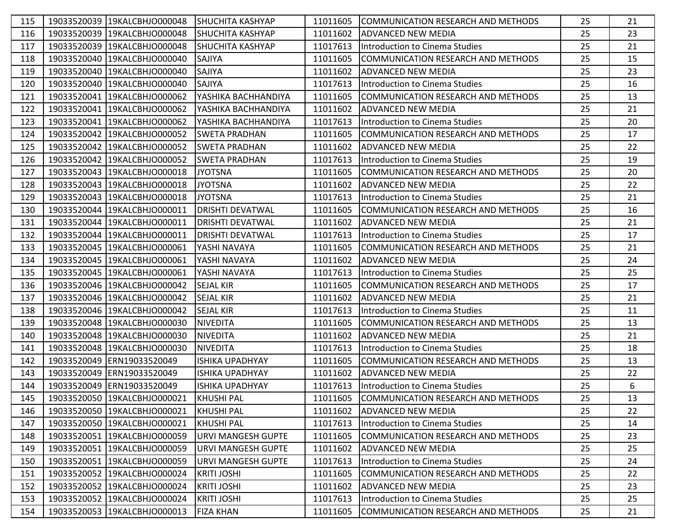| 115 | 19033520039 19KALCBHJO000048 | <b>ISHUCHITA KASHYAP</b>  | 11011605 | COMMUNICATION RESEARCH AND METHODS          | 25 | 21 |
|-----|------------------------------|---------------------------|----------|---------------------------------------------|----|----|
| 116 | 19033520039 19KALCBHJO000048 | <b>SHUCHITA KASHYAP</b>   | 11011602 | IADVANCED NEW MEDIA                         | 25 | 23 |
| 117 | 19033520039 19KALCBHJO000048 | ISHUCHITA KASHYAP         | 11017613 | Introduction to Cinema Studies              | 25 | 21 |
| 118 | 19033520040 19KALCBHJO000040 | SAJIYA                    | 11011605 | COMMUNICATION RESEARCH AND METHODS          | 25 | 15 |
| 119 | 19033520040 19KALCBHJO000040 | <b>SAJIYA</b>             | 11011602 | <b>ADVANCED NEW MEDIA</b>                   | 25 | 23 |
| 120 | 19033520040 19KALCBHJO000040 | <b>SAJIYA</b>             | 11017613 | Introduction to Cinema Studies              | 25 | 16 |
| 121 | 19033520041 19KALCBHJO000062 | YASHIKA BACHHANDIYA       | 11011605 | <b>ICOMMUNICATION RESEARCH AND METHODS</b>  | 25 | 13 |
| 122 | 19033520041 19KALCBHJO000062 | YASHIKA BACHHANDIYA       | 11011602 | ADVANCED NEW MEDIA                          | 25 | 21 |
| 123 | 19033520041 19KALCBHJO000062 | YASHIKA BACHHANDIYA       | 11017613 | IIntroduction to Cinema Studies             | 25 | 20 |
| 124 | 19033520042 19KALCBHJO000052 | <b>SWETA PRADHAN</b>      | 11011605 | ICOMMUNICATION RESEARCH AND METHODS         | 25 | 17 |
| 125 | 19033520042 19KALCBHJO000052 | <b>SWETA PRADHAN</b>      | 11011602 | <b>ADVANCED NEW MEDIA</b>                   | 25 | 22 |
| 126 | 19033520042 19KALCBHJO000052 | <b>SWETA PRADHAN</b>      | 11017613 | Introduction to Cinema Studies              | 25 | 19 |
| 127 | 19033520043 19KALCBHJO000018 | <b>JYOTSNA</b>            | 11011605 | COMMUNICATION RESEARCH AND METHODS          | 25 | 20 |
| 128 | 19033520043 19KALCBHJO000018 | <b>JYOTSNA</b>            | 11011602 | <b>ADVANCED NEW MEDIA</b>                   | 25 | 22 |
| 129 | 19033520043 19KALCBHJO000018 | <b>JYOTSNA</b>            | 11017613 | Introduction to Cinema Studies              | 25 | 21 |
| 130 | 19033520044 19KALCBHJO000011 | <b>DRISHTI DEVATWAL</b>   | 11011605 | COMMUNICATION RESEARCH AND METHODS          | 25 | 16 |
| 131 | 19033520044 19KALCBHJO000011 | <b>DRISHTI DEVATWAL</b>   | 11011602 | <b>ADVANCED NEW MEDIA</b>                   | 25 | 21 |
| 132 | 19033520044 19KALCBHJO000011 | <b>DRISHTI DEVATWAL</b>   | 11017613 | Introduction to Cinema Studies              | 25 | 17 |
| 133 | 19033520045 19KALCBHJO000061 | YASHI NAVAYA              | 11011605 | <b>ICOMMUNICATION RESEARCH AND METHODS</b>  | 25 | 21 |
| 134 | 19033520045 19KALCBHJO000061 | YASHI NAVAYA              | 11011602 | <b>ADVANCED NEW MEDIA</b>                   | 25 | 24 |
| 135 | 19033520045 19KALCBHJO000061 | YASHI NAVAYA              | 11017613 | Introduction to Cinema Studies              | 25 | 25 |
| 136 | 19033520046 19KALCBHJO000042 | <b>SEJAL KIR</b>          | 11011605 | COMMUNICATION RESEARCH AND METHODS          | 25 | 17 |
| 137 | 19033520046 19KALCBHJO000042 | <b>SEJAL KIR</b>          | 11011602 | <b>ADVANCED NEW MEDIA</b>                   | 25 | 21 |
| 138 | 19033520046 19KALCBHJO000042 | <b>SEJAL KIR</b>          | 11017613 | IIntroduction to Cinema Studies             | 25 | 11 |
| 139 | 19033520048 19KALCBHJO000030 | <b>NIVEDITA</b>           | 11011605 | COMMUNICATION RESEARCH AND METHODS          | 25 | 13 |
| 140 | 19033520048 19KALCBHJO000030 | <b>NIVEDITA</b>           | 11011602 | <b>ADVANCED NEW MEDIA</b>                   | 25 | 21 |
| 141 | 19033520048 19KALCBHJO000030 | <b>NIVEDITA</b>           | 11017613 | Introduction to Cinema Studies              | 25 | 18 |
| 142 | 19033520049 ERN19033520049   | <b>ISHIKA UPADHYAY</b>    | 11011605 | COMMUNICATION RESEARCH AND METHODS          | 25 | 13 |
| 143 | 19033520049 ERN19033520049   | <b>ISHIKA UPADHYAY</b>    | 11011602 | <b>ADVANCED NEW MEDIA</b>                   | 25 | 22 |
| 144 | 19033520049 ERN19033520049   | <b>ISHIKA UPADHYAY</b>    | 11017613 | Introduction to Cinema Studies              | 25 | 6  |
| 145 | 19033520050 19KALCBHJO000021 | <b>KHUSHI PAL</b>         |          | 11011605 COMMUNICATION RESEARCH AND METHODS | 25 | 13 |
| 146 | 19033520050 19KALCBHJO000021 | <b>KHUSHI PAL</b>         | 11011602 | <b>ADVANCED NEW MEDIA</b>                   | 25 | 22 |
| 147 | 19033520050 19KALCBHJO000021 | <b>KHUSHI PAL</b>         | 11017613 | Introduction to Cinema Studies              | 25 | 14 |
| 148 | 19033520051 19KALCBHJO000059 | <b>URVI MANGESH GUPTE</b> | 11011605 | COMMUNICATION RESEARCH AND METHODS          | 25 | 23 |
| 149 | 19033520051 19KALCBHJO000059 | <b>URVI MANGESH GUPTE</b> | 11011602 | <b>ADVANCED NEW MEDIA</b>                   | 25 | 25 |
| 150 | 19033520051 19KALCBHJO000059 | <b>URVI MANGESH GUPTE</b> | 11017613 | Introduction to Cinema Studies              | 25 | 24 |
| 151 | 19033520052 19KALCBHJO000024 | <b>KRITI JOSHI</b>        | 11011605 | COMMUNICATION RESEARCH AND METHODS          | 25 | 22 |
| 152 | 19033520052 19KALCBHJO000024 | <b>KRITI JOSHI</b>        | 11011602 | <b>ADVANCED NEW MEDIA</b>                   | 25 | 23 |
| 153 | 19033520052 19KALCBHJO000024 | <b>KRITI JOSHI</b>        | 11017613 | Introduction to Cinema Studies              | 25 | 25 |
| 154 | 19033520053 19KALCBHJO000013 | <b>FIZA KHAN</b>          | 11011605 | COMMUNICATION RESEARCH AND METHODS          | 25 | 21 |